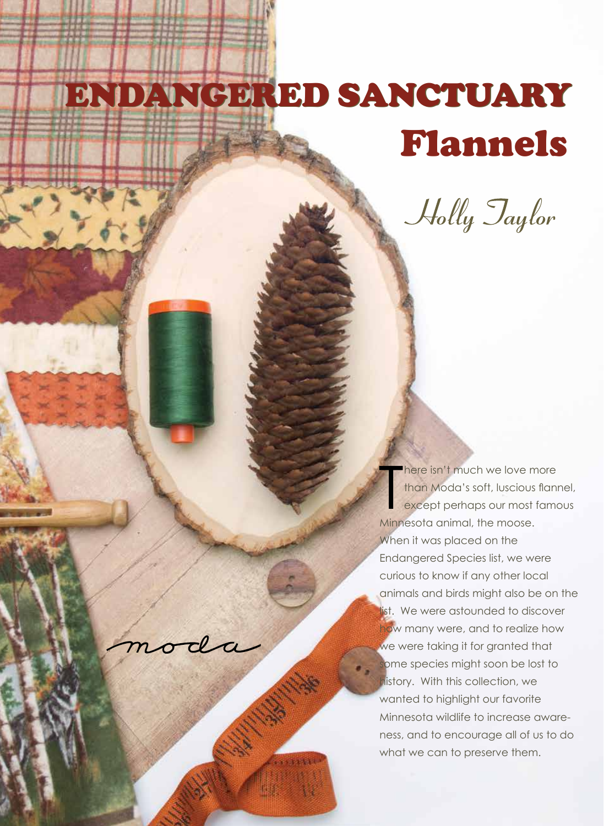## ENDANGERED SANCTUARY ENDANGERED SANCTUARY

Flannels

Holly Taylor

T There isn't much we love more than Moda's soft, luscious flannel, except perhaps our most famous Minnesota animal, the moose. When it was placed on the Endangered Species list, we were curious to know if any other local animals and birds might also be on the list. We were astounded to discover how many were, and to realize how we were taking it for granted that some species might soon be lost to history. With this collection, we wanted to highlight our favorite Minnesota wildlife to increase awareness, and to encourage all of us to do what we can to preserve them.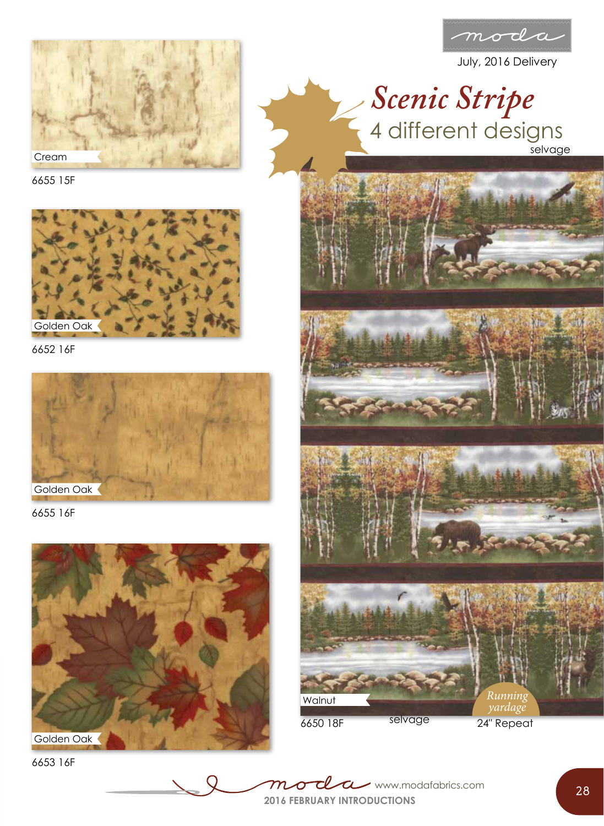

July, 2016 Delivery



6655 15F



6652 16F



6655 16F



6653 16F







6650 18F

selvage 24" Repeat

**2016 FEBRUARY INTRODUCTIONS** www.modafabrics.com **28**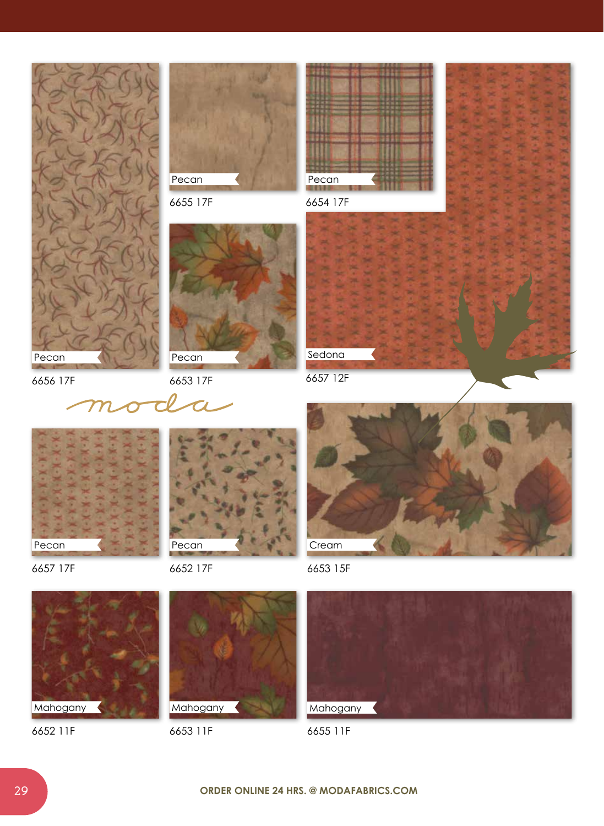

6657 17F

6652 17F



6653 15F



6655 11F



6652 11F



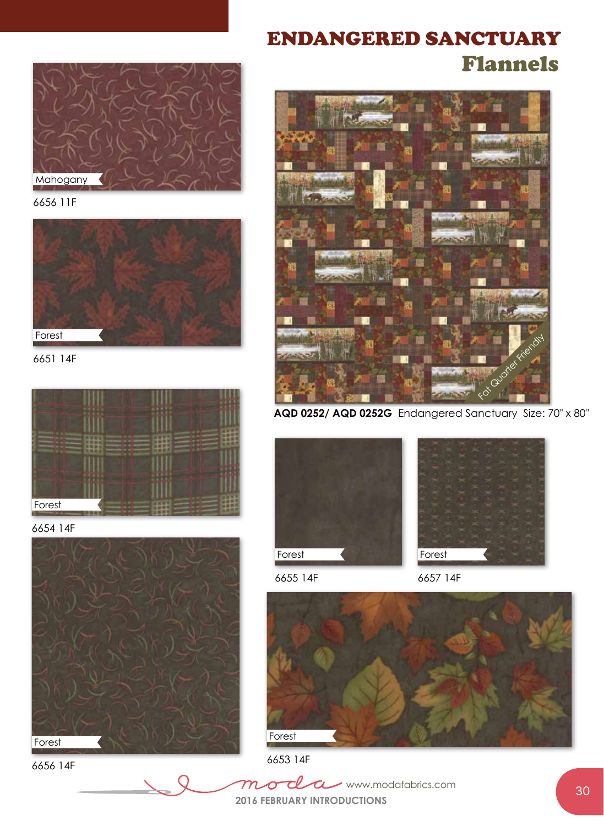

6656 11F



6651 14F



6654 14F



6656 14F

## ENDANGERED SANCTUARY Flannels



**AQD 0252/ AQD 0252G** Endangered Sanctuary Size: 70" x 80"



6655 14F



6657 14F



6653 14F

<u>cl</u>  $m$  $\sigma$ www.modafabrics.com $\tau$ **2016 FEBRUARY INTRODUCTIONS**